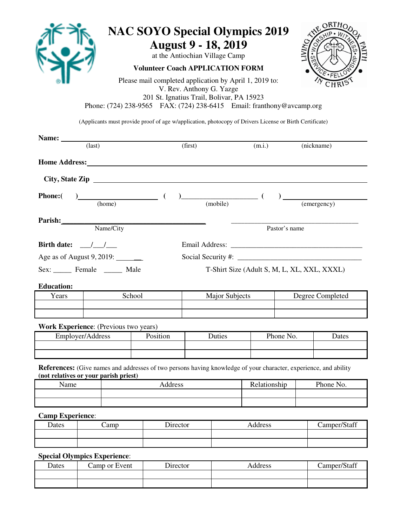

## **NAC SOYO Special Olympics 2019 August 9 - 18, 2019**

at the Antiochian Village Camp

**Volunteer Coach APPLICATION FORM**



Please mail completed application by April 1, 2019 to: V. Rev. Anthony G. Yazge 201 St. Ignatius Trail, Bolivar, PA 15923 Phone: (724) 238-9565 FAX: (724) 238-6415 Email: franthony@avcamp.org

(Applicants must provide proof of age w/application, photocopy of Drivers License or Birth Certificate)

| Name:                                                           |                                              |                        |                                                                                                                  |                                             |                         |                  |
|-----------------------------------------------------------------|----------------------------------------------|------------------------|------------------------------------------------------------------------------------------------------------------|---------------------------------------------|-------------------------|------------------|
|                                                                 | $\text{(last)}$                              |                        | (first)                                                                                                          | (m.i.)                                      |                         | (nickname)       |
|                                                                 |                                              | Home Address: No. 1996 |                                                                                                                  |                                             |                         |                  |
|                                                                 |                                              |                        | City, State Zip                                                                                                  |                                             |                         |                  |
| <b>Phone:</b>                                                   | $\frac{1}{2}$ (home) (                       |                        | $\begin{array}{c}\n\hline\n\end{array}$ (mobile) $\begin{array}{c}\n\hline\n\end{array}$                         |                                             | $\frac{1}{(emergency)}$ |                  |
|                                                                 | Parish: Name/City                            |                        |                                                                                                                  |                                             | Pastor's name           |                  |
|                                                                 |                                              |                        |                                                                                                                  |                                             |                         |                  |
| Birth date: $\frac{\sqrt{1-\frac{1}{2}}}{\sqrt{1-\frac{1}{2}}}$ |                                              |                        |                                                                                                                  |                                             |                         |                  |
|                                                                 | Age as of August 9, 2019: ________           |                        |                                                                                                                  |                                             |                         |                  |
|                                                                 | Sex: Female _______ Male                     |                        |                                                                                                                  | T-Shirt Size (Adult S, M, L, XL, XXL, XXXL) |                         |                  |
| <b>Education:</b>                                               |                                              |                        |                                                                                                                  |                                             |                         |                  |
| Years                                                           |                                              | School                 | Major Subjects                                                                                                   |                                             |                         | Degree Completed |
|                                                                 |                                              |                        |                                                                                                                  |                                             |                         |                  |
|                                                                 | <b>Work Experience:</b> (Previous two years) |                        |                                                                                                                  |                                             |                         |                  |
| Employer/Address                                                |                                              | Position               | Duties                                                                                                           |                                             | Phone No.               | Dates            |
|                                                                 |                                              |                        |                                                                                                                  |                                             |                         |                  |
|                                                                 | (not relatives or your parish priest)        |                        | References: (Give names and addresses of two persons having knowledge of your character, experience, and ability |                                             |                         |                  |
| Name                                                            |                                              |                        | Address                                                                                                          |                                             | Relationship            | Phone No.        |
|                                                                 |                                              |                        |                                                                                                                  |                                             |                         |                  |
|                                                                 |                                              |                        |                                                                                                                  |                                             |                         |                  |
| <b>Camp Experience:</b>                                         |                                              |                        |                                                                                                                  |                                             |                         |                  |
| Dates                                                           | Camp                                         | Director               |                                                                                                                  | Address                                     |                         | Camper/Staff     |

**Special Olympics Experience**:

| Dates | Camp or Event | Director | Address | Camper/Staff |
|-------|---------------|----------|---------|--------------|
|       |               |          |         |              |
|       |               |          |         |              |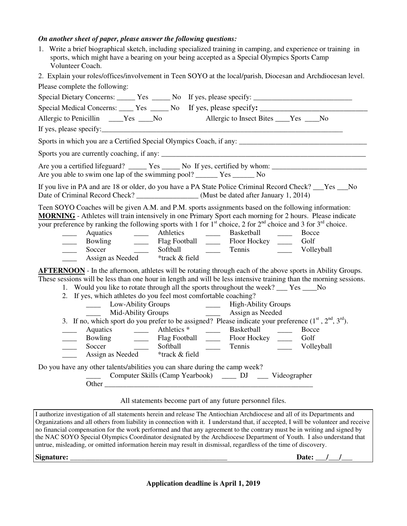#### *On another sheet of paper, please answer the following questions:*

1. Write a brief biographical sketch, including specialized training in camping, and experience or training in sports, which might have a bearing on your being accepted as a Special Olympics Sports Camp Volunteer Coach.

2. Explain your roles/offices/involvement in Teen SOYO at the local/parish, Diocesan and Archdiocesan level. Please complete the following:

| Please complete the following:                                                                                                                                                                                                                                                                                                                                                                                                                                                                                               |
|------------------------------------------------------------------------------------------------------------------------------------------------------------------------------------------------------------------------------------------------------------------------------------------------------------------------------------------------------------------------------------------------------------------------------------------------------------------------------------------------------------------------------|
|                                                                                                                                                                                                                                                                                                                                                                                                                                                                                                                              |
| Special Medical Concerns: _____ Yes ______ No If yes, please specify: ______________________________                                                                                                                                                                                                                                                                                                                                                                                                                         |
| Allergic to Penicillin ____Yes ___No Allergic to Insect Bites ___Yes ___No                                                                                                                                                                                                                                                                                                                                                                                                                                                   |
|                                                                                                                                                                                                                                                                                                                                                                                                                                                                                                                              |
| Sports in which you are a Certified Special Olympics Coach, if any:                                                                                                                                                                                                                                                                                                                                                                                                                                                          |
|                                                                                                                                                                                                                                                                                                                                                                                                                                                                                                                              |
| Are you a certified lifeguard? ______ Yes ______ No If yes, certified by whom: _______________________________                                                                                                                                                                                                                                                                                                                                                                                                               |
| If you live in PA and are 18 or older, do you have a PA State Police Criminal Record Check? ___Yes ___No<br>Date of Criminal Record Check? _________________(Must be dated after January 1, 2014)                                                                                                                                                                                                                                                                                                                            |
| Teen SOYO Coaches will be given A.M. and P.M. sports assignments based on the following information:<br>MORNING - Athletes will train intensively in one Primary Sport each morning for 2 hours. Please indicate<br>your preference by ranking the following sports with 1 for $1st$ choice, 2 for $2nd$ choice and 3 for $3rd$ choice.<br>Bocce<br>$\frac{1}{2}$<br>Bowling ________ Flag Football _______ Floor Hockey _______ Golf<br><u>and the state</u><br>$\overline{\phantom{a}}$<br>Assign as Needed *track & field |
| <b>AFTERNOON</b> - In the afternoon, athletes will be rotating through each of the above sports in Ability Groups.<br>These sessions will be less than one hour in length and will be less intensive training than the morning sessions.                                                                                                                                                                                                                                                                                     |
| 1. Would you like to rotate through all the sports throughout the week? ___ Yes ____No                                                                                                                                                                                                                                                                                                                                                                                                                                       |
| 2. If yes, which athletes do you feel most comfortable coaching?                                                                                                                                                                                                                                                                                                                                                                                                                                                             |
| Low-Ability Groups<br>Mid-Ability Groups<br>Mid-Ability Groups<br>Assign as Needed                                                                                                                                                                                                                                                                                                                                                                                                                                           |
| 3. If no, which sport do you prefer to be assigned? Please indicate your preference $(1st, 2nd, 3rd)$ .                                                                                                                                                                                                                                                                                                                                                                                                                      |
| Aquatics ________ Athletics * _____<br>Basketball Bocce<br>$\overline{\phantom{a}}$                                                                                                                                                                                                                                                                                                                                                                                                                                          |
| Bowling _________ Flag Football ________ Floor Hockey _____<br>Golf<br>$\overline{\phantom{a}}$                                                                                                                                                                                                                                                                                                                                                                                                                              |
| Softball ______<br>$\sim$<br>Soccer<br>Volleyball                                                                                                                                                                                                                                                                                                                                                                                                                                                                            |
| Assign as Needed *track & field                                                                                                                                                                                                                                                                                                                                                                                                                                                                                              |
| Do you have any other talents/abilities you can share during the camp week?<br>Computer Skills (Camp Yearbook) _____ DJ ____ Videographer                                                                                                                                                                                                                                                                                                                                                                                    |

All statements become part of any future personnel files.

I authorize investigation of all statements herein and release The Antiochian Archdiocese and all of its Departments and Organizations and all others from liability in connection with it. I understand that, if accepted, I will be volunteer and receive no financial compensation for the work performed and that any agreement to the contrary must be in writing and signed by the NAC SOYO Special Olympics Coordinator designated by the Archdiocese Department of Youth. I also understand that untrue, misleading, or omitted information herein may result in dismissal, regardless of the time of discovery.

**Signature: \_\_\_\_\_\_\_\_\_\_\_\_\_\_\_\_\_\_\_\_\_\_\_\_\_\_\_\_\_\_\_\_\_\_\_\_\_\_\_\_\_\_\_ Date: \_\_\_/\_\_\_/\_\_\_**

**Application deadline is April 1, 2019**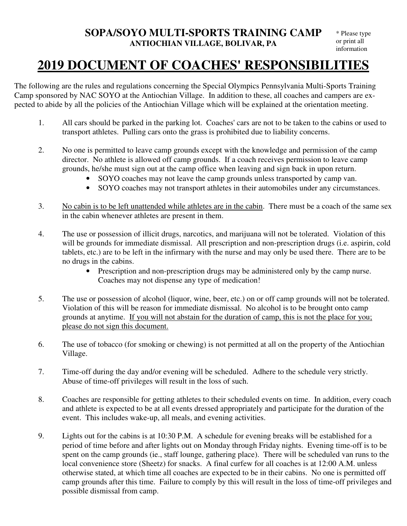## **2019 DOCUMENT OF COACHES' RESPONSIBILITIES**

The following are the rules and regulations concerning the Special Olympics Pennsylvania Multi-Sports Training Camp sponsored by NAC SOYO at the Antiochian Village. In addition to these, all coaches and campers are expected to abide by all the policies of the Antiochian Village which will be explained at the orientation meeting.

- 1. All cars should be parked in the parking lot. Coaches' cars are not to be taken to the cabins or used to transport athletes. Pulling cars onto the grass is prohibited due to liability concerns.
- 2. No one is permitted to leave camp grounds except with the knowledge and permission of the camp director. No athlete is allowed off camp grounds. If a coach receives permission to leave camp grounds, he/she must sign out at the camp office when leaving and sign back in upon return.
	- SOYO coaches may not leave the camp grounds unless transported by camp van.
	- SOYO coaches may not transport athletes in their automobiles under any circumstances.
- 3. No cabin is to be left unattended while athletes are in the cabin. There must be a coach of the same sex in the cabin whenever athletes are present in them.
- 4. The use or possession of illicit drugs, narcotics, and marijuana will not be tolerated. Violation of this will be grounds for immediate dismissal. All prescription and non-prescription drugs (i.e. aspirin, cold tablets, etc.) are to be left in the infirmary with the nurse and may only be used there. There are to be no drugs in the cabins.
	- Prescription and non-prescription drugs may be administered only by the camp nurse. Coaches may not dispense any type of medication!
- 5. The use or possession of alcohol (liquor, wine, beer, etc.) on or off camp grounds will not be tolerated. Violation of this will be reason for immediate dismissal. No alcohol is to be brought onto camp grounds at anytime. If you will not abstain for the duration of camp, this is not the place for you; please do not sign this document.
- 6. The use of tobacco (for smoking or chewing) is not permitted at all on the property of the Antiochian Village.
- 7. Time-off during the day and/or evening will be scheduled. Adhere to the schedule very strictly. Abuse of time-off privileges will result in the loss of such.
- 8. Coaches are responsible for getting athletes to their scheduled events on time. In addition, every coach and athlete is expected to be at all events dressed appropriately and participate for the duration of the event. This includes wake-up, all meals, and evening activities.
- 9. Lights out for the cabins is at 10:30 P.M. A schedule for evening breaks will be established for a period of time before and after lights out on Monday through Friday nights. Evening time-off is to be spent on the camp grounds (ie., staff lounge, gathering place). There will be scheduled van runs to the local convenience store (Sheetz) for snacks. A final curfew for all coaches is at 12:00 A.M. unless otherwise stated, at which time all coaches are expected to be in their cabins. No one is permitted off camp grounds after this time. Failure to comply by this will result in the loss of time-off privileges and possible dismissal from camp.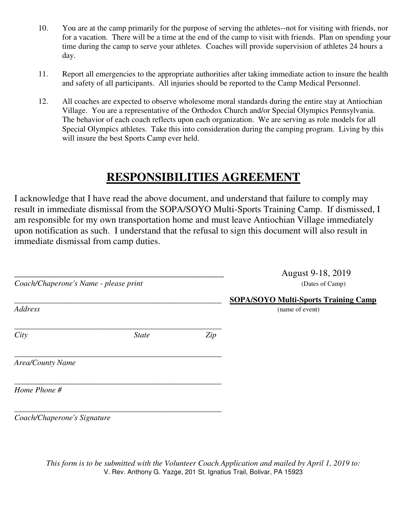- 10. You are at the camp primarily for the purpose of serving the athletes--not for visiting with friends, nor for a vacation. There will be a time at the end of the camp to visit with friends. Plan on spending your time during the camp to serve your athletes. Coaches will provide supervision of athletes 24 hours a day.
- 11. Report all emergencies to the appropriate authorities after taking immediate action to insure the health and safety of all participants. All injuries should be reported to the Camp Medical Personnel.
- 12. All coaches are expected to observe wholesome moral standards during the entire stay at Antiochian Village. You are a representative of the Orthodox Church and/or Special Olympics Pennsylvania. The behavior of each coach reflects upon each organization. We are serving as role models for all Special Olympics athletes. Take this into consideration during the camping program. Living by this will insure the best Sports Camp ever held.

## **RESPONSIBILITIES AGREEMENT**

I acknowledge that I have read the above document, and understand that failure to comply may result in immediate dismissal from the SOPA/SOYO Multi-Sports Training Camp. If dismissed, I am responsible for my own transportation home and must leave Antiochian Village immediately upon notification as such. I understand that the refusal to sign this document will also result in immediate dismissal from camp duties.

| Coach/Chaperone's Name - please print |              |     | August 9-18, 2019<br>(Dates of Camp)                           |  |  |
|---------------------------------------|--------------|-----|----------------------------------------------------------------|--|--|
| <b>Address</b>                        |              |     | <b>SOPA/SOYO Multi-Sports Training Camp</b><br>(name of event) |  |  |
| City                                  | <b>State</b> | Zip |                                                                |  |  |
| <b>Area/County Name</b>               |              |     |                                                                |  |  |
| Home Phone #                          |              |     |                                                                |  |  |
| Coach/Chaperone's Signature           |              |     |                                                                |  |  |

*This form is to be submitted with the Volunteer Coach Application and mailed by April 1, 2019 to:*  V. Rev. Anthony G. Yazge, 201 St. Ignatius Trail, Bolivar, PA 15923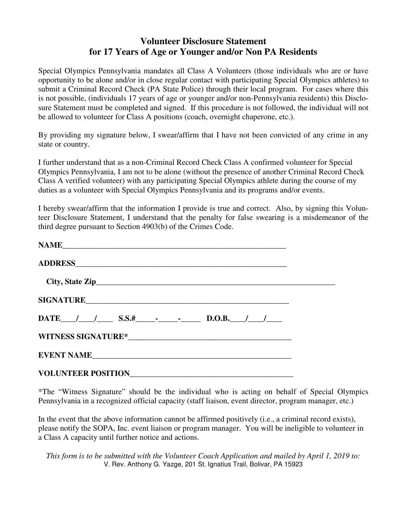### **Volunteer Disclosure Statement for 17 Years of Age or Younger and/or Non PA Residents**

Special Olympics Pennsylvania mandates all Class A Volunteers (those individuals who are or have opportunity to be alone and/or in close regular contact with participating Special Olympics athletes) to submit a Criminal Record Check (PA State Police) through their local program. For cases where this is not possible, (individuals 17 years of age or younger and/or non-Pennsylvania residents) this Disclosure Statement must be completed and signed. If this procedure is not followed, the individual will not be allowed to volunteer for Class A positions (coach, overnight chaperone, etc.).

By providing my signature below, I swear/affirm that I have not been convicted of any crime in any state or country.

I further understand that as a non-Criminal Record Check Class A confirmed volunteer for Special Olympics Pennsylvania, I am not to be alone (without the presence of another Criminal Record Check Class A verified volunteer) with any participating Special Olympics athlete during the course of my duties as a volunteer with Special Olympics Pennsylvania and its programs and/or events.

I hereby swear/affirm that the information I provide is true and correct. Also, by signing this Volunteer Disclosure Statement, I understand that the penalty for false swearing is a misdemeanor of the third degree pursuant to Section 4903(b) of the Crimes Code.

| DATE $/$ / S.S.# $\qquad$ $\qquad$ $\qquad$ D.O.B. $/$ $\qquad$ |  |
|-----------------------------------------------------------------|--|
|                                                                 |  |
| EVENT NAME                                                      |  |
|                                                                 |  |

\*The "Witness Signature" should be the individual who is acting on behalf of Special Olympics Pennsylvania in a recognized official capacity (staff liaison, event director, program manager, etc.)

In the event that the above information cannot be affirmed positively (i.e., a criminal record exists), please notify the SOPA, Inc. event liaison or program manager. You will be ineligible to volunteer in a Class A capacity until further notice and actions.

*This form is to be submitted with the Volunteer Coach Application and mailed by April 1, 2019 to:*  V. Rev. Anthony G. Yazge, 201 St. Ignatius Trail, Bolivar, PA 15923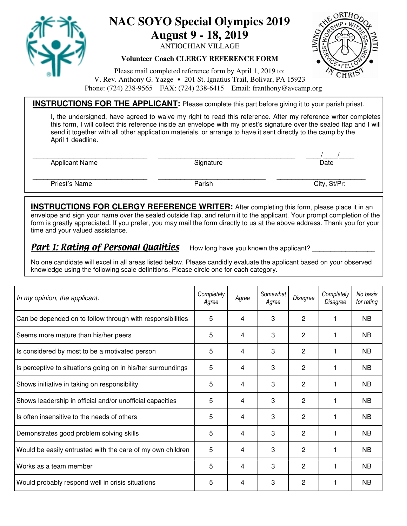

# **NAC SOYO Special Olympics 2019**

**August 9 - 18, 2019** 

ANTIOCHIAN VILLAGE

**Volunteer Coach CLERGY REFERENCE FORM**



Please mail completed reference form by April 1, 2019 to: V. Rev. Anthony G. Yazge • 201 St. Ignatius Trail, Bolivar, PA 15923 Phone: (724) 238-9565 FAX: (724) 238-6415 Email: franthony@avcamp.org

#### **INSTRUCTIONS FOR THE APPLICANT:** Please complete this part before giving it to your parish priest.

 I, the undersigned, have agreed to waive my right to read this reference. After my reference writer completes this form, I will collect this reference inside an envelope with my priest's signature over the sealed flap and I will send it together with all other application materials, or arrange to have it sent directly to the camp by the April 1 deadline.

Applicant Name **Signature** Signature **Signature Signature Date** 

\_\_\_\_\_\_\_\_\_\_\_\_\_\_\_\_\_\_\_\_\_\_\_\_\_\_\_\_\_\_\_ \_\_\_\_\_\_\_\_\_\_\_\_\_\_\_\_\_\_\_\_\_\_\_\_\_\_\_\_\_\_\_\_\_\_\_\_\_ \_\_\_\_/\_\_\_\_/\_\_\_\_

Priest's Name **Parish City, Stephen City, Stephen Parish** Parish City, Stephen Parish City, Stephen Parish City, Stephen Parish City, Stephen Parish City, Stephen Parish City, Stephen Parish City, Stephen Parish City, Step

\_\_\_\_\_\_\_\_\_\_\_\_\_\_\_\_\_\_\_\_\_\_\_\_\_\_\_\_\_\_\_ \_\_\_\_\_\_\_\_\_\_\_\_\_\_\_\_\_\_\_\_\_\_\_\_\_\_\_\_\_ \_\_\_\_\_\_\_\_\_\_\_\_\_\_\_\_\_\_\_\_\_\_\_\_

**INSTRUCTIONS FOR CLERGY REFERENCE WRITER:** After completing this form, please place it in an envelope and sign your name over the sealed outside flap, and return it to the applicant. Your prompt completion of the form is greatly appreciated. If you prefer, you may mail the form directly to us at the above address. Thank you for your time and your valued assistance.

### **Part I: Rating of Personal Qualities** How long have you known the applicant?

No one candidate will excel in all areas listed below. Please candidly evaluate the applicant based on your observed knowledge using the following scale definitions. Please circle one for each category.

| In my opinion, the applicant:                                | Completely<br>Agree | Agree | Somewhat<br>Agree | Disagree       | Completely<br>Disagree | No basis<br>for rating |
|--------------------------------------------------------------|---------------------|-------|-------------------|----------------|------------------------|------------------------|
| Can be depended on to follow through with responsibilities   | 5                   | 4     | 3                 | 2              |                        | <b>NB</b>              |
| Seems more mature than his/her peers                         | 5                   | 4     | 3                 | 2              |                        | <b>NB</b>              |
| Is considered by most to be a motivated person               |                     | 4     | 3                 | $\overline{c}$ |                        | NB.                    |
| Is perceptive to situations going on in his/her surroundings |                     | 4     | 3                 | 2              |                        | <b>NB</b>              |
| Shows initiative in taking on responsibility                 |                     | 4     | 3                 | 2              |                        | <b>NB</b>              |
| Shows leadership in official and/or unofficial capacities    |                     | 4     | 3                 | 2              |                        | <b>NB</b>              |
| Is often insensitive to the needs of others                  |                     | 4     | 3                 | 2              |                        | NB.                    |
| Demonstrates good problem solving skills                     |                     | 4     | 3                 | 2              |                        | NB.                    |
| Would be easily entrusted with the care of my own children   | 5                   | 4     | 3                 | 2              |                        | NB.                    |
| Works as a team member                                       | 5                   | 4     | 3                 | 2              |                        | <b>NB</b>              |
| Would probably respond well in crisis situations             | 5                   | 4     | 3                 | $\overline{2}$ |                        | <b>NB</b>              |